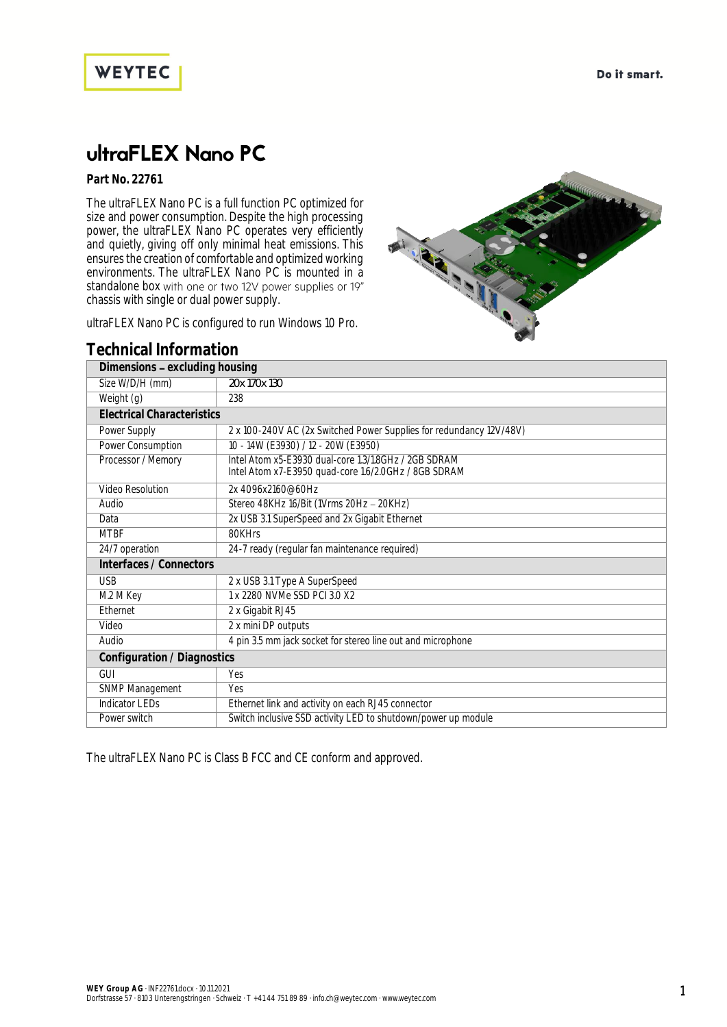



## ultraFLEX Nano PC

**Part No. 22761**

The ultraFLEX Nano PC is a full function PC optimized for size and power consumption. Despite the high processing power, the ultraFLEX Nano PC operates very efficiently and quietly, giving off only minimal heat emissions. This ensures the creation of comfortable and optimized working environments. The ultraFLEX Nano PC is mounted in a standalone box with one or two 12V power supplies or 19" chassis with single or dual power supply.

ultraFLEX Nano PC is configured to run Windows 10 Pro.



## **Technical Information**

| Dimensions - excluding housing    |                                                                                                              |
|-----------------------------------|--------------------------------------------------------------------------------------------------------------|
| Size W/D/H (mm)                   | 20x 170x 130                                                                                                 |
| Weight (g)                        | 238                                                                                                          |
| <b>Electrical Characteristics</b> |                                                                                                              |
| Power Supply                      | 2 x 100-240V AC (2x Switched Power Supplies for redundancy 12V/48V)                                          |
| Power Consumption                 | 10 - 14W (E3930) / 12 - 20W (E3950)                                                                          |
| Processor / Memory                | Intel Atom x5-E3930 dual-core 1.3/1.8GHz / 2GB SDRAM<br>Intel Atom x7-E3950 quad-core 1.6/2.0GHz / 8GB SDRAM |
| Video Resolution                  | 2x 4096x2160@60Hz                                                                                            |
| Audio                             | Stereo 48KHz 16/Bit (1Vrms 20Hz - 20KHz)                                                                     |
| Data                              | 2x USB 3.1 SuperSpeed and 2x Gigabit Ethernet                                                                |
| <b>MTBF</b>                       | 80KHrs                                                                                                       |
| 24/7 operation                    | 24-7 ready (regular fan maintenance required)                                                                |
| Interfaces / Connectors           |                                                                                                              |
| <b>USB</b>                        | 2 x USB 3.1 Type A SuperSpeed                                                                                |
| M.2 M Key                         | 1 x 2280 NVMe SSD PCI 3.0 X2                                                                                 |
| <b>Fthernet</b>                   | 2 x Gigabit RJ45                                                                                             |
| Video                             | 2 x mini DP outputs                                                                                          |
| Audio                             | 4 pin 3.5 mm jack socket for stereo line out and microphone                                                  |
| Configuration / Diagnostics       |                                                                                                              |
| GUI                               | Yes                                                                                                          |
| SNMP Management                   | <b>Yes</b>                                                                                                   |
| <b>Indicator LEDs</b>             | Ethernet link and activity on each RJ45 connector                                                            |
| Power switch                      | Switch inclusive SSD activity LED to shutdown/power up module                                                |

The ultraFLEX Nano PC is Class B FCC and CE conform and approved.